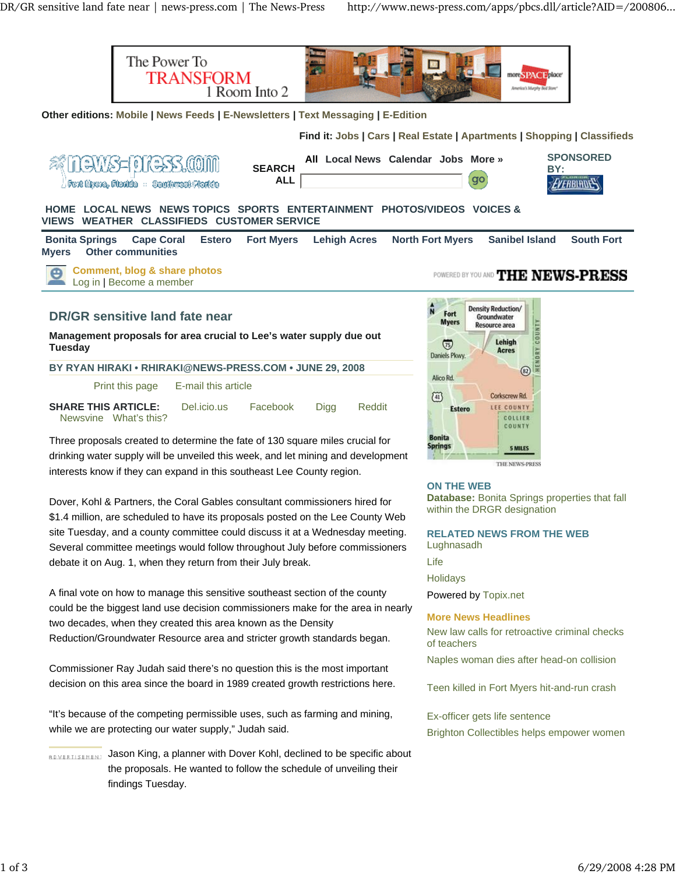

**ON THE WEB**

**Database:** Bonita Springs properties that fall within the DRGR designation

**RELATED NEWS FROM THE WEB** Lughnasadh Life

**Holidays** 

Powered by Topix.net

## **More News Headlines**

New law calls for retroactive criminal checks of teachers

Naples woman dies after head-on collision

Teen killed in Fort Myers hit-and-run crash

Ex-officer gets life sentence Brighton Collectibles helps empower women

two decades, when they created this area known as the Density Reduction/Groundwater Resource area and stricter growth standards began.

A final vote on how to manage this sensitive southeast section of the county could be the biggest land use decision commissioners make for the area in nearly

Dover, Kohl & Partners, the Coral Gables consultant commissioners hired for \$1.4 million, are scheduled to have its proposals posted on the Lee County Web site Tuesday, and a county committee could discuss it at a Wednesday meeting. Several committee meetings would follow throughout July before commissioners

debate it on Aug. 1, when they return from their July break.

Commissioner Ray Judah said there's no question this is the most important decision on this area since the board in 1989 created growth restrictions here.

"It's because of the competing permissible uses, such as farming and mining, while we are protecting our water supply," Judah said.

**BOVERTISEMENT Jason King, a planner with Dover Kohl, declined to be specific about** the proposals. He wanted to follow the schedule of unveiling their findings Tuesday.